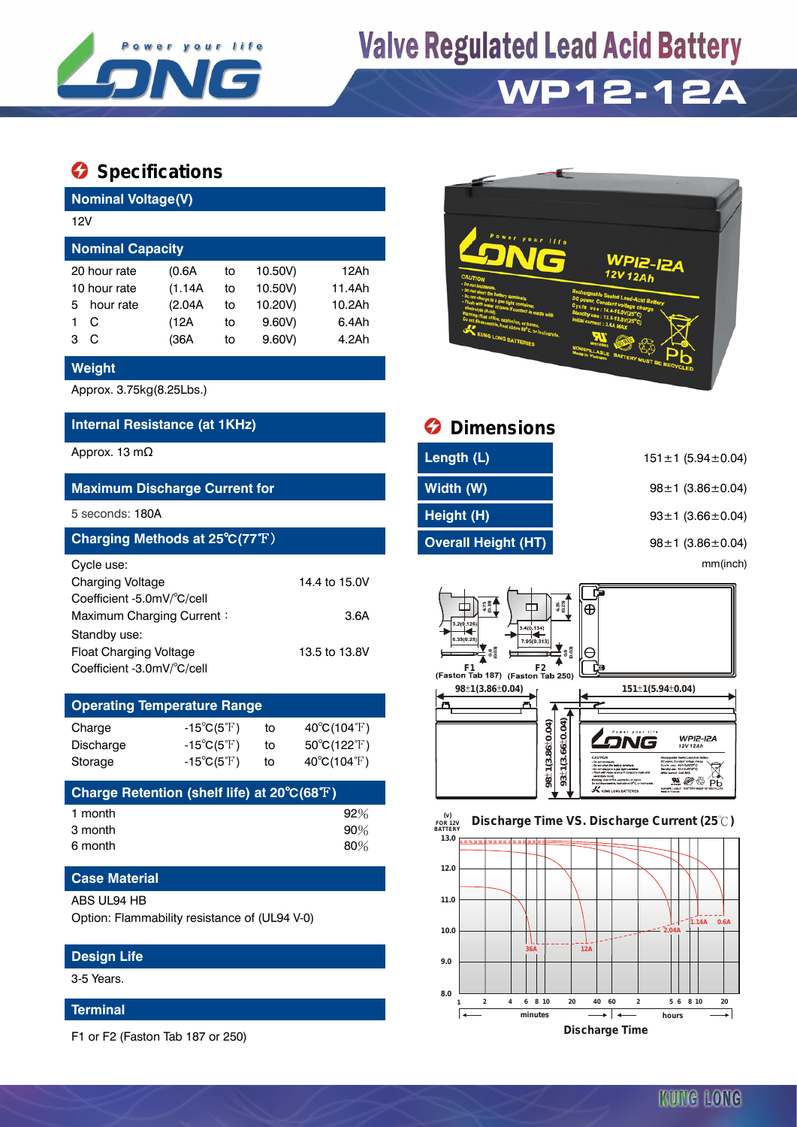

# **Valve Regulated Lead Acid Battery**

## **WP12-12A**

### **Specifications**

| <b>Nominal Voltage(V)</b>   |           |         |    |         |        |  |  |  |
|-----------------------------|-----------|---------|----|---------|--------|--|--|--|
| 12V                         |           |         |    |         |        |  |  |  |
| <b>Nominal Capacity</b>     |           |         |    |         |        |  |  |  |
| 20 hour rate<br>(0.6A<br>to |           |         |    | 10.50V) | 12Ah   |  |  |  |
| 10 hour rate                |           | (1.14A  | to | 10.50V) | 11.4Ah |  |  |  |
| 5.                          | hour rate | (2.04A) | to | 10.20V) | 10.2Ah |  |  |  |
|                             | C         | (12A    | to | 9.60V   | 6.4Ah  |  |  |  |
| з                           | C         | (36A    | to | 9.60V   | 4.2Ah  |  |  |  |

#### **Weight**

Approx. 3.75kg(8.25Lbs.)

#### **Internal Resistance (at 1KHz)**

#### **Maximum Discharge Current for**

#### 5 seconds: 180A

| Charging Methods at 25°C(77°F) |               |  |  |  |  |  |
|--------------------------------|---------------|--|--|--|--|--|
| Cycle use:                     |               |  |  |  |  |  |
| <b>Charging Voltage</b>        | 14.4 to 15.0V |  |  |  |  |  |
| Coefficient -5.0mV/°C/cell     |               |  |  |  |  |  |
| Maximum Charging Current:      | 3.6A          |  |  |  |  |  |
| Standby use:                   |               |  |  |  |  |  |
| <b>Float Charging Voltage</b>  | 13.5 to 13.8V |  |  |  |  |  |
| Coefficient -3.0mV/°C/cell     |               |  |  |  |  |  |

#### **Operating Temperature Range** Charge  $-15^{\circ}C(5^{\circ}F)$  to  $40^{\circ}C(104^{\circ}F)$ Discharge  $-15^{\circ}C(5^{\circ}F)$  to  $50^{\circ}C(122^{\circ}F)$

| Storage                                     | $-15^{\circ}C(5^{\circ}F)$ | to | 40 $^{\circ}$ C(104 $^{\circ}$ F) |  |  |  |
|---------------------------------------------|----------------------------|----|-----------------------------------|--|--|--|
| Charge Retention (shelf life) at 20°C(68°F) |                            |    |                                   |  |  |  |

| 1 month | 92% |
|---------|-----|
| 3 month | 90% |
| 6 month | 80% |

#### **Case Material**

#### ABS UL94 HB

Option: Flammability resistance of (UL94 V-0)

#### **Design Life**

3-5 Years.

#### **Terminal**

F1 or F2 (Faston Tab 187 or 250)



| Internal Resistance (at 1KHz)                                | <b>Dimensions</b>          |                               |
|--------------------------------------------------------------|----------------------------|-------------------------------|
| Approx. 13 mΩ                                                | Length (L)                 | $151 \pm 1$ (5.94 $\pm$ 0.04) |
| <b>Maximum Discharge Current for</b>                         | Width (W)                  | $98 \pm 1$ (3.86 $\pm$ 0.04)  |
| 5 seconds: 180A                                              | Height (H)                 | $93 \pm 1$ (3.66 $\pm$ 0.04)  |
| Charging Methods at 25 $^{\circ}$ C(77 $^{\circ}\!\text{F})$ | <b>Overall Height (HT)</b> | $98 \pm 1$ (3.86 $\pm$ 0.04)  |
| Cvcle use:                                                   |                            | mm(inch)                      |





### KUNG LONG